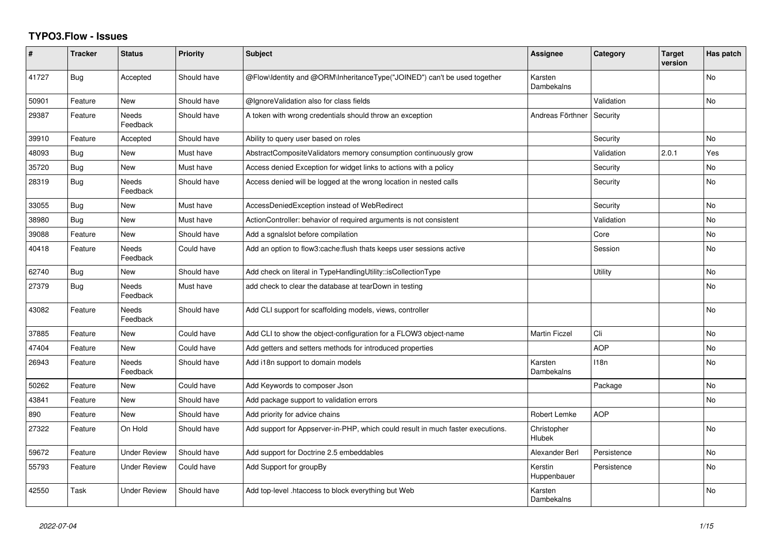## **TYPO3.Flow - Issues**

| #     | <b>Tracker</b> | <b>Status</b>            | <b>Priority</b> | <b>Subject</b>                                                                  | Assignee               | Category    | <b>Target</b><br>version | Has patch      |
|-------|----------------|--------------------------|-----------------|---------------------------------------------------------------------------------|------------------------|-------------|--------------------------|----------------|
| 41727 | Bug            | Accepted                 | Should have     | @Flow\ldentity and @ORM\InheritanceType("JOINED") can't be used together        | Karsten<br>Dambekalns  |             |                          | <b>No</b>      |
| 50901 | Feature        | <b>New</b>               | Should have     | @IgnoreValidation also for class fields                                         |                        | Validation  |                          | <b>No</b>      |
| 29387 | Feature        | Needs<br>Feedback        | Should have     | A token with wrong credentials should throw an exception                        | Andreas Förthner       | Security    |                          |                |
| 39910 | Feature        | Accepted                 | Should have     | Ability to query user based on roles                                            |                        | Security    |                          | <b>No</b>      |
| 48093 | Bug            | New                      | Must have       | AbstractCompositeValidators memory consumption continuously grow                |                        | Validation  | 2.0.1                    | Yes            |
| 35720 | Bug            | New                      | Must have       | Access denied Exception for widget links to actions with a policy               |                        | Security    |                          | No             |
| 28319 | Bug            | <b>Needs</b><br>Feedback | Should have     | Access denied will be logged at the wrong location in nested calls              |                        | Security    |                          | No             |
| 33055 | Bug            | <b>New</b>               | Must have       | AccessDeniedException instead of WebRedirect                                    |                        | Security    |                          | <b>No</b>      |
| 38980 | Bug            | New                      | Must have       | ActionController: behavior of required arguments is not consistent              |                        | Validation  |                          | <b>No</b>      |
| 39088 | Feature        | <b>New</b>               | Should have     | Add a sgnalslot before compilation                                              |                        | Core        |                          | No             |
| 40418 | Feature        | <b>Needs</b><br>Feedback | Could have      | Add an option to flow3:cache: flush thats keeps user sessions active            |                        | Session     |                          | <b>No</b>      |
| 62740 | <b>Bug</b>     | <b>New</b>               | Should have     | Add check on literal in TypeHandlingUtility::isCollectionType                   |                        | Utility     |                          | No             |
| 27379 | Bug            | Needs<br>Feedback        | Must have       | add check to clear the database at tearDown in testing                          |                        |             |                          | No             |
| 43082 | Feature        | <b>Needs</b><br>Feedback | Should have     | Add CLI support for scaffolding models, views, controller                       |                        |             |                          | <b>No</b>      |
| 37885 | Feature        | <b>New</b>               | Could have      | Add CLI to show the object-configuration for a FLOW3 object-name                | <b>Martin Ficzel</b>   | Cli         |                          | No             |
| 47404 | Feature        | <b>New</b>               | Could have      | Add getters and setters methods for introduced properties                       |                        | <b>AOP</b>  |                          | No             |
| 26943 | Feature        | Needs<br>Feedback        | Should have     | Add i18n support to domain models                                               | Karsten<br>Dambekalns  | 118n        |                          | N <sub>o</sub> |
| 50262 | Feature        | <b>New</b>               | Could have      | Add Keywords to composer Json                                                   |                        | Package     |                          | No             |
| 43841 | Feature        | <b>New</b>               | Should have     | Add package support to validation errors                                        |                        |             |                          | <b>No</b>      |
| 890   | Feature        | New                      | Should have     | Add priority for advice chains                                                  | Robert Lemke           | <b>AOP</b>  |                          |                |
| 27322 | Feature        | On Hold                  | Should have     | Add support for Appserver-in-PHP, which could result in much faster executions. | Christopher<br>Hlubek  |             |                          | <b>No</b>      |
| 59672 | Feature        | <b>Under Review</b>      | Should have     | Add support for Doctrine 2.5 embeddables                                        | Alexander Berl         | Persistence |                          | N <sub>o</sub> |
| 55793 | Feature        | <b>Under Review</b>      | Could have      | Add Support for groupBy                                                         | Kerstin<br>Huppenbauer | Persistence |                          | No             |
| 42550 | Task           | <b>Under Review</b>      | Should have     | Add top-level .htaccess to block everything but Web                             | Karsten<br>Dambekalns  |             |                          | N <sub>o</sub> |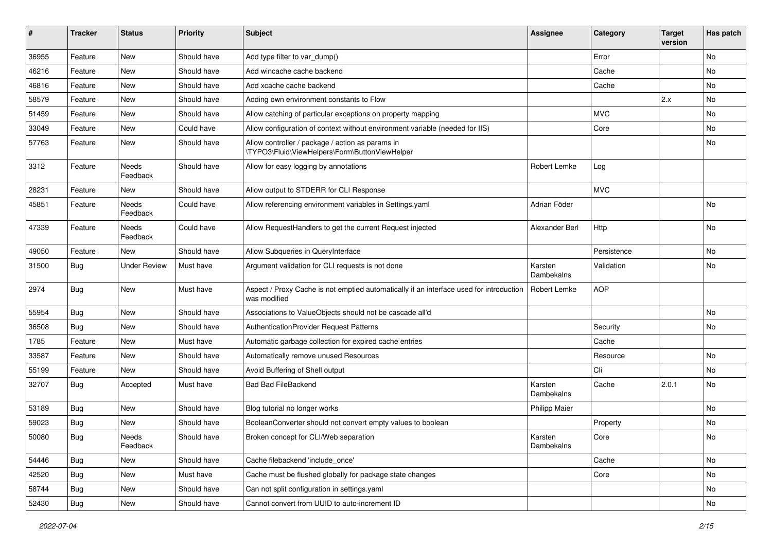| #     | <b>Tracker</b> | <b>Status</b>     | <b>Priority</b> | <b>Subject</b>                                                                                          | <b>Assignee</b>       | Category    | <b>Target</b><br>version | Has patch |
|-------|----------------|-------------------|-----------------|---------------------------------------------------------------------------------------------------------|-----------------------|-------------|--------------------------|-----------|
| 36955 | Feature        | <b>New</b>        | Should have     | Add type filter to var_dump()                                                                           |                       | Error       |                          | No        |
| 46216 | Feature        | New               | Should have     | Add wincache cache backend                                                                              |                       | Cache       |                          | No        |
| 46816 | Feature        | New               | Should have     | Add xcache cache backend                                                                                |                       | Cache       |                          | No        |
| 58579 | Feature        | New               | Should have     | Adding own environment constants to Flow                                                                |                       |             | 2.x                      | No        |
| 51459 | Feature        | New               | Should have     | Allow catching of particular exceptions on property mapping                                             |                       | <b>MVC</b>  |                          | No        |
| 33049 | Feature        | <b>New</b>        | Could have      | Allow configuration of context without environment variable (needed for IIS)                            |                       | Core        |                          | No        |
| 57763 | Feature        | New               | Should have     | Allow controller / package / action as params in<br>\TYPO3\Fluid\ViewHelpers\Form\ButtonViewHelper      |                       |             |                          | No        |
| 3312  | Feature        | Needs<br>Feedback | Should have     | Allow for easy logging by annotations                                                                   | Robert Lemke          | Log         |                          |           |
| 28231 | Feature        | New               | Should have     | Allow output to STDERR for CLI Response                                                                 |                       | <b>MVC</b>  |                          |           |
| 45851 | Feature        | Needs<br>Feedback | Could have      | Allow referencing environment variables in Settings.yaml                                                | Adrian Föder          |             |                          | No        |
| 47339 | Feature        | Needs<br>Feedback | Could have      | Allow RequestHandlers to get the current Request injected                                               | Alexander Berl        | Http        |                          | No        |
| 49050 | Feature        | New               | Should have     | Allow Subqueries in QueryInterface                                                                      |                       | Persistence |                          | No        |
| 31500 | Bug            | Under Review      | Must have       | Argument validation for CLI requests is not done                                                        | Karsten<br>Dambekalns | Validation  |                          | No        |
| 2974  | Bug            | New               | Must have       | Aspect / Proxy Cache is not emptied automatically if an interface used for introduction<br>was modified | <b>Robert Lemke</b>   | <b>AOP</b>  |                          |           |
| 55954 | Bug            | <b>New</b>        | Should have     | Associations to ValueObjects should not be cascade all'd                                                |                       |             |                          | No        |
| 36508 | Bug            | New               | Should have     | AuthenticationProvider Request Patterns                                                                 |                       | Security    |                          | No        |
| 1785  | Feature        | New               | Must have       | Automatic garbage collection for expired cache entries                                                  |                       | Cache       |                          |           |
| 33587 | Feature        | New               | Should have     | Automatically remove unused Resources                                                                   |                       | Resource    |                          | No        |
| 55199 | Feature        | New               | Should have     | Avoid Buffering of Shell output                                                                         |                       | Cli         |                          | No.       |
| 32707 | Bug            | Accepted          | Must have       | <b>Bad Bad FileBackend</b>                                                                              | Karsten<br>Dambekalns | Cache       | 2.0.1                    | No        |
| 53189 | Bug            | <b>New</b>        | Should have     | Blog tutorial no longer works                                                                           | <b>Philipp Maier</b>  |             |                          | No        |
| 59023 | Bug            | New               | Should have     | BooleanConverter should not convert empty values to boolean                                             |                       | Property    |                          | No        |
| 50080 | Bug            | Needs<br>Feedback | Should have     | Broken concept for CLI/Web separation                                                                   | Karsten<br>Dambekalns | Core        |                          | INO.      |
| 54446 | Bug            | New               | Should have     | Cache filebackend 'include_once'                                                                        |                       | Cache       |                          | No        |
| 42520 | Bug            | <b>New</b>        | Must have       | Cache must be flushed globally for package state changes                                                |                       | Core        |                          | No        |
| 58744 | Bug            | New               | Should have     | Can not split configuration in settings.yaml                                                            |                       |             |                          | No        |
| 52430 | Bug            | New               | Should have     | Cannot convert from UUID to auto-increment ID                                                           |                       |             |                          | No        |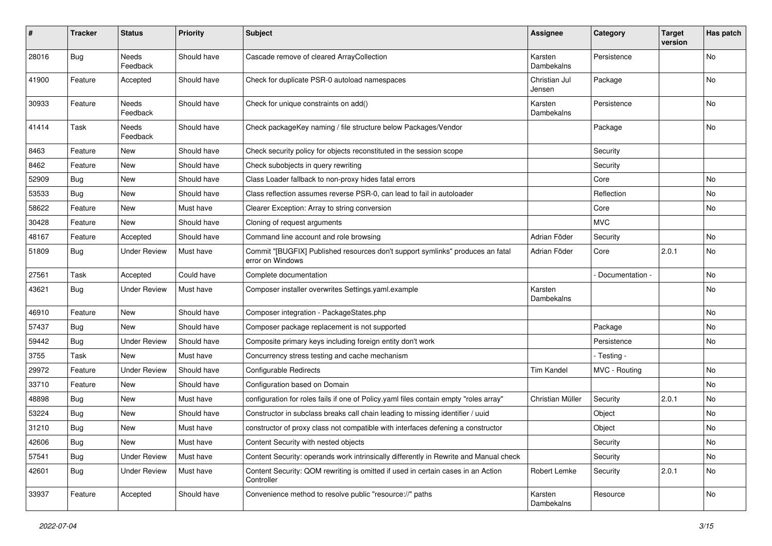| #     | <b>Tracker</b> | <b>Status</b>            | <b>Priority</b> | <b>Subject</b>                                                                                     | <b>Assignee</b>         | Category        | <b>Target</b><br>version | Has patch |
|-------|----------------|--------------------------|-----------------|----------------------------------------------------------------------------------------------------|-------------------------|-----------------|--------------------------|-----------|
| 28016 | Bug            | Needs<br>Feedback        | Should have     | Cascade remove of cleared ArrayCollection                                                          | Karsten<br>Dambekalns   | Persistence     |                          | No        |
| 41900 | Feature        | Accepted                 | Should have     | Check for duplicate PSR-0 autoload namespaces                                                      | Christian Jul<br>Jensen | Package         |                          | No        |
| 30933 | Feature        | Needs<br>Feedback        | Should have     | Check for unique constraints on add()                                                              | Karsten<br>Dambekalns   | Persistence     |                          | No        |
| 41414 | Task           | <b>Needs</b><br>Feedback | Should have     | Check packageKey naming / file structure below Packages/Vendor                                     |                         | Package         |                          | <b>No</b> |
| 8463  | Feature        | New                      | Should have     | Check security policy for objects reconstituted in the session scope                               |                         | Security        |                          |           |
| 8462  | Feature        | New                      | Should have     | Check subobjects in query rewriting                                                                |                         | Security        |                          |           |
| 52909 | <b>Bug</b>     | New                      | Should have     | Class Loader fallback to non-proxy hides fatal errors                                              |                         | Core            |                          | No        |
| 53533 | Bug            | New                      | Should have     | Class reflection assumes reverse PSR-0, can lead to fail in autoloader                             |                         | Reflection      |                          | No        |
| 58622 | Feature        | <b>New</b>               | Must have       | Clearer Exception: Array to string conversion                                                      |                         | Core            |                          | No        |
| 30428 | Feature        | New                      | Should have     | Cloning of request arguments                                                                       |                         | <b>MVC</b>      |                          |           |
| 48167 | Feature        | Accepted                 | Should have     | Command line account and role browsing                                                             | Adrian Föder            | Security        |                          | No        |
| 51809 | <b>Bug</b>     | <b>Under Review</b>      | Must have       | Commit "[BUGFIX] Published resources don't support symlinks" produces an fatal<br>error on Windows | Adrian Föder            | Core            | 2.0.1                    | No        |
| 27561 | Task           | Accepted                 | Could have      | Complete documentation                                                                             |                         | Documentation - |                          | <b>No</b> |
| 43621 | <b>Bug</b>     | <b>Under Review</b>      | Must have       | Composer installer overwrites Settings.yaml.example                                                | Karsten<br>Dambekalns   |                 |                          | No        |
| 46910 | Feature        | New                      | Should have     | Composer integration - PackageStates.php                                                           |                         |                 |                          | <b>No</b> |
| 57437 | <b>Bug</b>     | New                      | Should have     | Composer package replacement is not supported                                                      |                         | Package         |                          | No        |
| 59442 | Bug            | <b>Under Review</b>      | Should have     | Composite primary keys including foreign entity don't work                                         |                         | Persistence     |                          | No        |
| 3755  | Task           | New                      | Must have       | Concurrency stress testing and cache mechanism                                                     |                         | - Testing -     |                          |           |
| 29972 | Feature        | <b>Under Review</b>      | Should have     | <b>Configurable Redirects</b>                                                                      | <b>Tim Kandel</b>       | MVC - Routing   |                          | No        |
| 33710 | Feature        | <b>New</b>               | Should have     | Configuration based on Domain                                                                      |                         |                 |                          | <b>No</b> |
| 48898 | Bug            | New                      | Must have       | configuration for roles fails if one of Policy.yaml files contain empty "roles array"              | Christian Müller        | Security        | 2.0.1                    | No        |
| 53224 | Bug            | New                      | Should have     | Constructor in subclass breaks call chain leading to missing identifier / uuid                     |                         | Object          |                          | No        |
| 31210 | Bug            | New                      | Must have       | constructor of proxy class not compatible with interfaces defening a constructor                   |                         | Object          |                          | No        |
| 42606 | Bug            | <b>New</b>               | Must have       | Content Security with nested objects                                                               |                         | Security        |                          | No        |
| 57541 | <b>Bug</b>     | <b>Under Review</b>      | Must have       | Content Security: operands work intrinsically differently in Rewrite and Manual check              |                         | Security        |                          | No        |
| 42601 | Bug            | <b>Under Review</b>      | Must have       | Content Security: QOM rewriting is omitted if used in certain cases in an Action<br>Controller     | Robert Lemke            | Security        | 2.0.1                    | No        |
| 33937 | Feature        | Accepted                 | Should have     | Convenience method to resolve public "resource://" paths                                           | Karsten<br>Dambekalns   | Resource        |                          | No        |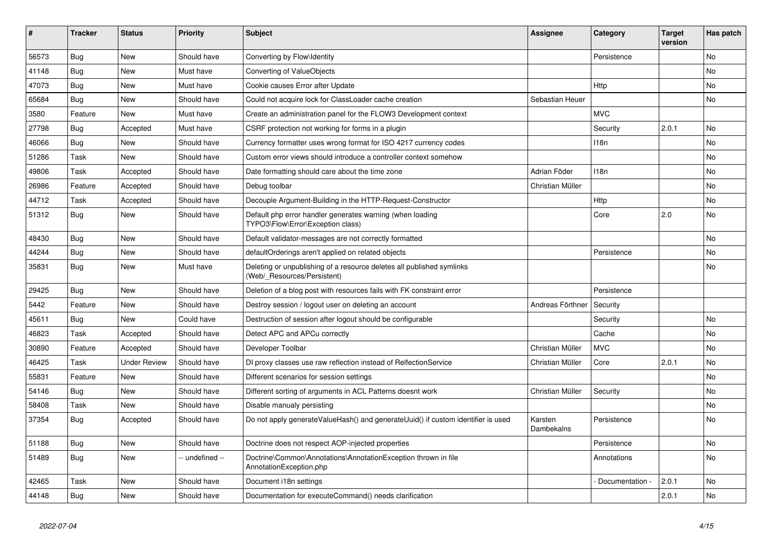| ∦     | <b>Tracker</b> | <b>Status</b>       | <b>Priority</b> | <b>Subject</b>                                                                                       | Assignee              | Category         | <b>Target</b><br>version | Has patch |
|-------|----------------|---------------------|-----------------|------------------------------------------------------------------------------------------------------|-----------------------|------------------|--------------------------|-----------|
| 56573 | Bug            | <b>New</b>          | Should have     | Converting by Flow\Identity                                                                          |                       | Persistence      |                          | <b>No</b> |
| 41148 | <b>Bug</b>     | <b>New</b>          | Must have       | Converting of ValueObjects                                                                           |                       |                  |                          | <b>No</b> |
| 47073 | Bug            | <b>New</b>          | Must have       | Cookie causes Error after Update                                                                     |                       | Http             |                          | <b>No</b> |
| 65684 | Bug            | <b>New</b>          | Should have     | Could not acquire lock for ClassLoader cache creation                                                | Sebastian Heuer       |                  |                          | <b>No</b> |
| 3580  | Feature        | <b>New</b>          | Must have       | Create an administration panel for the FLOW3 Development context                                     |                       | <b>MVC</b>       |                          |           |
| 27798 | <b>Bug</b>     | Accepted            | Must have       | CSRF protection not working for forms in a plugin                                                    |                       | Security         | 2.0.1                    | <b>No</b> |
| 46066 | Bug            | <b>New</b>          | Should have     | Currency formatter uses wrong format for ISO 4217 currency codes                                     |                       | 118n             |                          | <b>No</b> |
| 51286 | Task           | <b>New</b>          | Should have     | Custom error views should introduce a controller context somehow                                     |                       |                  |                          | <b>No</b> |
| 49806 | Task           | Accepted            | Should have     | Date formatting should care about the time zone                                                      | Adrian Föder          | 118 <sub>n</sub> |                          | <b>No</b> |
| 26986 | Feature        | Accepted            | Should have     | Debug toolbar                                                                                        | Christian Müller      |                  |                          | <b>No</b> |
| 44712 | Task           | Accepted            | Should have     | Decouple Argument-Building in the HTTP-Request-Constructor                                           |                       | Http             |                          | <b>No</b> |
| 51312 | Bug            | <b>New</b>          | Should have     | Default php error handler generates warning (when loading<br>TYPO3\Flow\Error\Exception class)       |                       | Core             | 2.0                      | <b>No</b> |
| 48430 | <b>Bug</b>     | <b>New</b>          | Should have     | Default validator-messages are not correctly formatted                                               |                       |                  |                          | <b>No</b> |
| 44244 | Bug            | <b>New</b>          | Should have     | defaultOrderings aren't applied on related objects                                                   |                       | Persistence      |                          | <b>No</b> |
| 35831 | Bug            | <b>New</b>          | Must have       | Deleting or unpublishing of a resource deletes all published symlinks<br>(Web/ Resources/Persistent) |                       |                  |                          | <b>No</b> |
| 29425 | Bug            | <b>New</b>          | Should have     | Deletion of a blog post with resources fails with FK constraint error                                |                       | Persistence      |                          |           |
| 5442  | Feature        | <b>New</b>          | Should have     | Destroy session / logout user on deleting an account                                                 | Andreas Förthner      | Security         |                          |           |
| 45611 | Bug            | <b>New</b>          | Could have      | Destruction of session after logout should be configurable                                           |                       | Security         |                          | <b>No</b> |
| 46823 | Task           | Accepted            | Should have     | Detect APC and APCu correctly                                                                        |                       | Cache            |                          | No        |
| 30890 | Feature        | Accepted            | Should have     | Developer Toolbar                                                                                    | Christian Müller      | <b>MVC</b>       |                          | <b>No</b> |
| 46425 | Task           | <b>Under Review</b> | Should have     | DI proxy classes use raw reflection instead of RelfectionService                                     | Christian Müller      | Core             | 2.0.1                    | <b>No</b> |
| 55831 | Feature        | <b>New</b>          | Should have     | Different scenarios for session settings                                                             |                       |                  |                          | <b>No</b> |
| 54146 | <b>Bug</b>     | <b>New</b>          | Should have     | Different sorting of arguments in ACL Patterns doesnt work                                           | Christian Müller      | Security         |                          | No        |
| 58408 | Task           | <b>New</b>          | Should have     | Disable manualy persisting                                                                           |                       |                  |                          | <b>No</b> |
| 37354 | <b>Bug</b>     | Accepted            | Should have     | Do not apply generateValueHash() and generateUuid() if custom identifier is used                     | Karsten<br>Dambekalns | Persistence      |                          | <b>No</b> |
| 51188 | Bug            | <b>New</b>          | Should have     | Doctrine does not respect AOP-injected properties                                                    |                       | Persistence      |                          | No        |
| 51489 | <b>Bug</b>     | <b>New</b>          | -- undefined -- | Doctrine\Common\Annotations\AnnotationException thrown in file<br>AnnotationException.php            |                       | Annotations      |                          | <b>No</b> |
| 42465 | Task           | <b>New</b>          | Should have     | Document i18n settings                                                                               |                       | Documentation    | 2.0.1                    | <b>No</b> |
| 44148 | <b>Bug</b>     | <b>New</b>          | Should have     | Documentation for executeCommand() needs clarification                                               |                       |                  | 2.0.1                    | No        |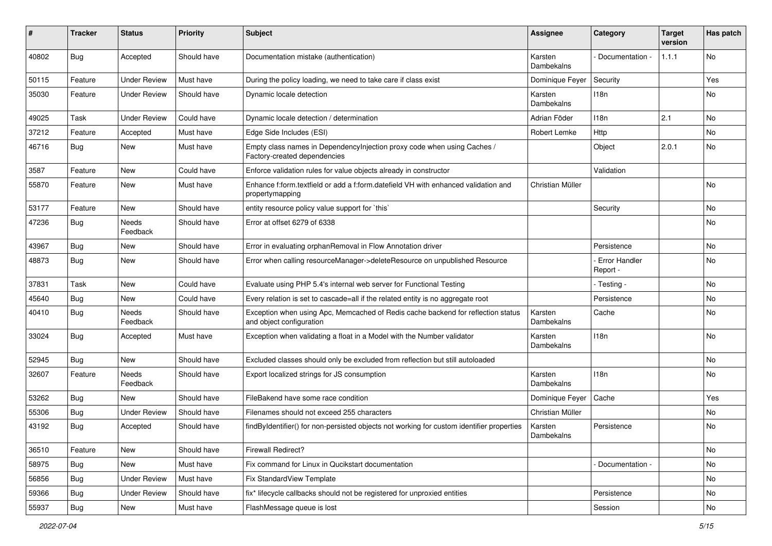| ∦     | <b>Tracker</b> | <b>Status</b>            | <b>Priority</b> | <b>Subject</b>                                                                                               | <b>Assignee</b>       | Category                  | <b>Target</b><br>version | Has patch |
|-------|----------------|--------------------------|-----------------|--------------------------------------------------------------------------------------------------------------|-----------------------|---------------------------|--------------------------|-----------|
| 40802 | Bug            | Accepted                 | Should have     | Documentation mistake (authentication)                                                                       | Karsten<br>Dambekalns | Documentation -           | 1.1.1                    | No        |
| 50115 | Feature        | <b>Under Review</b>      | Must have       | During the policy loading, we need to take care if class exist                                               | Dominique Feyer       | Security                  |                          | Yes       |
| 35030 | Feature        | <b>Under Review</b>      | Should have     | Dynamic locale detection                                                                                     | Karsten<br>Dambekalns | 118n                      |                          | No        |
| 49025 | Task           | <b>Under Review</b>      | Could have      | Dynamic locale detection / determination                                                                     | Adrian Föder          | 118n                      | 2.1                      | No        |
| 37212 | Feature        | Accepted                 | Must have       | Edge Side Includes (ESI)                                                                                     | Robert Lemke          | Http                      |                          | No        |
| 46716 | Bug            | New                      | Must have       | Empty class names in DependencyInjection proxy code when using Caches /<br>Factory-created dependencies      |                       | Object                    | 2.0.1                    | No        |
| 3587  | Feature        | New                      | Could have      | Enforce validation rules for value objects already in constructor                                            |                       | Validation                |                          |           |
| 55870 | Feature        | New                      | Must have       | Enhance f:form.textfield or add a f:form.datefield VH with enhanced validation and<br>propertymapping        | Christian Müller      |                           |                          | <b>No</b> |
| 53177 | Feature        | <b>New</b>               | Should have     | entity resource policy value support for `this`                                                              |                       | Security                  |                          | <b>No</b> |
| 47236 | <b>Bug</b>     | <b>Needs</b><br>Feedback | Should have     | Error at offset 6279 of 6338                                                                                 |                       |                           |                          | No        |
| 43967 | Bug            | New                      | Should have     | Error in evaluating orphanRemoval in Flow Annotation driver                                                  |                       | Persistence               |                          | No        |
| 48873 | Bug            | New                      | Should have     | Error when calling resourceManager->deleteResource on unpublished Resource                                   |                       | Error Handler<br>Report - |                          | <b>No</b> |
| 37831 | Task           | New                      | Could have      | Evaluate using PHP 5.4's internal web server for Functional Testing                                          |                       | - Testing -               |                          | <b>No</b> |
| 45640 | Bug            | New                      | Could have      | Every relation is set to cascade=all if the related entity is no aggregate root                              |                       | Persistence               |                          | No        |
| 40410 | <b>Bug</b>     | Needs<br>Feedback        | Should have     | Exception when using Apc, Memcached of Redis cache backend for reflection status<br>and object configuration | Karsten<br>Dambekalns | Cache                     |                          | No        |
| 33024 | Bug            | Accepted                 | Must have       | Exception when validating a float in a Model with the Number validator                                       | Karsten<br>Dambekalns | 118n                      |                          | <b>No</b> |
| 52945 | Bug            | New                      | Should have     | Excluded classes should only be excluded from reflection but still autoloaded                                |                       |                           |                          | No        |
| 32607 | Feature        | <b>Needs</b><br>Feedback | Should have     | Export localized strings for JS consumption                                                                  | Karsten<br>Dambekalns | 118n                      |                          | No        |
| 53262 | Bug            | <b>New</b>               | Should have     | FileBakend have some race condition                                                                          | Dominique Feyer       | Cache                     |                          | Yes       |
| 55306 | <b>Bug</b>     | <b>Under Review</b>      | Should have     | Filenames should not exceed 255 characters                                                                   | Christian Müller      |                           |                          | No        |
| 43192 | Bug            | Accepted                 | Should have     | findByIdentifier() for non-persisted objects not working for custom identifier properties                    | Karsten<br>Dambekalns | Persistence               |                          | No        |
| 36510 | Feature        | New                      | Should have     | Firewall Redirect?                                                                                           |                       |                           |                          | No        |
| 58975 | <b>Bug</b>     | New                      | Must have       | Fix command for Linux in Qucikstart documentation                                                            |                       | - Documentation -         |                          | No        |
| 56856 | <b>Bug</b>     | <b>Under Review</b>      | Must have       | Fix StandardView Template                                                                                    |                       |                           |                          | No        |
| 59366 | Bug            | <b>Under Review</b>      | Should have     | fix* lifecycle callbacks should not be registered for unproxied entities                                     |                       | Persistence               |                          | No        |
| 55937 | Bug            | New                      | Must have       | FlashMessage queue is lost                                                                                   |                       | Session                   |                          | No        |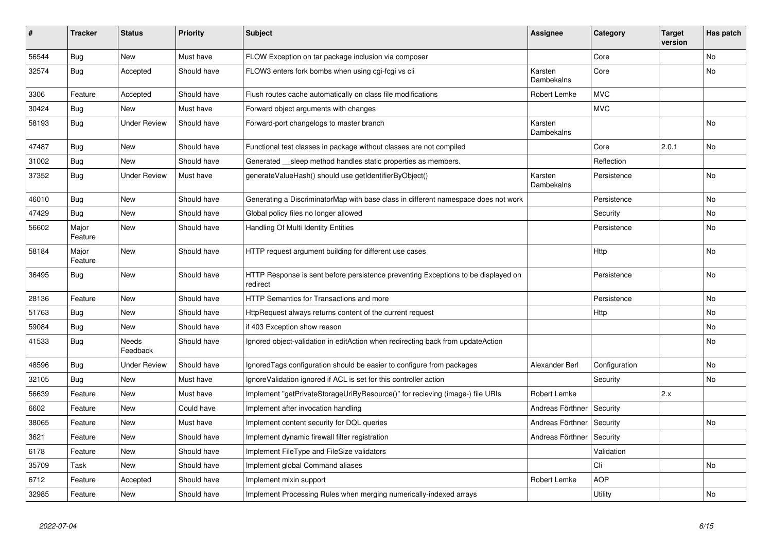| #     | <b>Tracker</b>   | <b>Status</b>       | <b>Priority</b> | <b>Subject</b>                                                                                | <b>Assignee</b>       | Category      | <b>Target</b><br>version | Has patch |
|-------|------------------|---------------------|-----------------|-----------------------------------------------------------------------------------------------|-----------------------|---------------|--------------------------|-----------|
| 56544 | Bug              | <b>New</b>          | Must have       | FLOW Exception on tar package inclusion via composer                                          |                       | Core          |                          | <b>No</b> |
| 32574 | Bug              | Accepted            | Should have     | FLOW3 enters fork bombs when using cgi-fcgi vs cli                                            | Karsten<br>Dambekalns | Core          |                          | <b>No</b> |
| 3306  | Feature          | Accepted            | Should have     | Flush routes cache automatically on class file modifications                                  | <b>Robert Lemke</b>   | <b>MVC</b>    |                          |           |
| 30424 | Bug              | <b>New</b>          | Must have       | Forward object arguments with changes                                                         |                       | <b>MVC</b>    |                          |           |
| 58193 | <b>Bug</b>       | <b>Under Review</b> | Should have     | Forward-port changelogs to master branch                                                      | Karsten<br>Dambekalns |               |                          | <b>No</b> |
| 47487 | Bug              | New                 | Should have     | Functional test classes in package without classes are not compiled                           |                       | Core          | 2.0.1                    | <b>No</b> |
| 31002 | <b>Bug</b>       | <b>New</b>          | Should have     | Generated __sleep method handles static properties as members.                                |                       | Reflection    |                          |           |
| 37352 | Bug              | <b>Under Review</b> | Must have       | generateValueHash() should use getIdentifierByObject()                                        | Karsten<br>Dambekalns | Persistence   |                          | <b>No</b> |
| 46010 | Bug              | <b>New</b>          | Should have     | Generating a DiscriminatorMap with base class in different namespace does not work            |                       | Persistence   |                          | No        |
| 47429 | <b>Bug</b>       | <b>New</b>          | Should have     | Global policy files no longer allowed                                                         |                       | Security      |                          | <b>No</b> |
| 56602 | Major<br>Feature | <b>New</b>          | Should have     | Handling Of Multi Identity Entities                                                           |                       | Persistence   |                          | <b>No</b> |
| 58184 | Major<br>Feature | <b>New</b>          | Should have     | HTTP request argument building for different use cases                                        |                       | <b>Http</b>   |                          | No        |
| 36495 | <b>Bug</b>       | <b>New</b>          | Should have     | HTTP Response is sent before persistence preventing Exceptions to be displayed on<br>redirect |                       | Persistence   |                          | No        |
| 28136 | Feature          | <b>New</b>          | Should have     | <b>HTTP Semantics for Transactions and more</b>                                               |                       | Persistence   |                          | <b>No</b> |
| 51763 | <b>Bug</b>       | <b>New</b>          | Should have     | HttpRequest always returns content of the current request                                     |                       | Http          |                          | No        |
| 59084 | <b>Bug</b>       | <b>New</b>          | Should have     | if 403 Exception show reason                                                                  |                       |               |                          | No        |
| 41533 | <b>Bug</b>       | Needs<br>Feedback   | Should have     | Ignored object-validation in editAction when redirecting back from updateAction               |                       |               |                          | No        |
| 48596 | Bug              | <b>Under Review</b> | Should have     | IgnoredTags configuration should be easier to configure from packages                         | Alexander Berl        | Configuration |                          | <b>No</b> |
| 32105 | Bug              | New                 | Must have       | IgnoreValidation ignored if ACL is set for this controller action                             |                       | Security      |                          | No        |
| 56639 | Feature          | <b>New</b>          | Must have       | Implement "getPrivateStorageUriByResource()" for recieving (image-) file URIs                 | Robert Lemke          |               | 2.x                      |           |
| 6602  | Feature          | New                 | Could have      | Implement after invocation handling                                                           | Andreas Förthner      | Security      |                          |           |
| 38065 | Feature          | <b>New</b>          | Must have       | Implement content security for DQL queries                                                    | Andreas Förthner      | Security      |                          | No        |
| 3621  | Feature          | New                 | Should have     | Implement dynamic firewall filter registration                                                | Andreas Förthner      | Security      |                          |           |
| 6178  | Feature          | <b>New</b>          | Should have     | Implement FileType and FileSize validators                                                    |                       | Validation    |                          |           |
| 35709 | Task             | <b>New</b>          | Should have     | Implement global Command aliases                                                              |                       | Cli           |                          | No        |
| 6712  | Feature          | Accepted            | Should have     | Implement mixin support                                                                       | Robert Lemke          | <b>AOP</b>    |                          |           |
| 32985 | Feature          | New                 | Should have     | Implement Processing Rules when merging numerically-indexed arrays                            |                       | Utility       |                          | No        |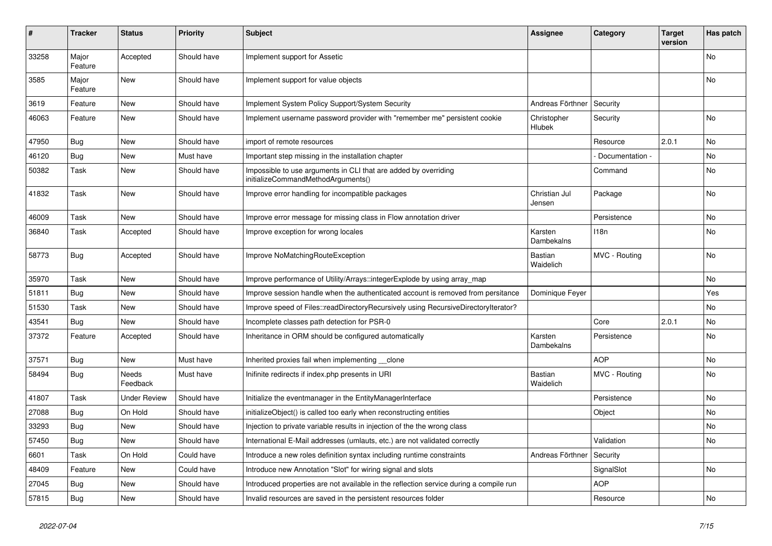| #     | <b>Tracker</b>   | <b>Status</b>       | <b>Priority</b> | <b>Subject</b>                                                                                        | <b>Assignee</b>             | Category         | Target<br>version | Has patch      |
|-------|------------------|---------------------|-----------------|-------------------------------------------------------------------------------------------------------|-----------------------------|------------------|-------------------|----------------|
| 33258 | Major<br>Feature | Accepted            | Should have     | Implement support for Assetic                                                                         |                             |                  |                   | No             |
| 3585  | Major<br>Feature | New                 | Should have     | Implement support for value objects                                                                   |                             |                  |                   | No             |
| 3619  | Feature          | <b>New</b>          | Should have     | Implement System Policy Support/System Security                                                       | Andreas Förthner            | Security         |                   |                |
| 46063 | Feature          | <b>New</b>          | Should have     | Implement username password provider with "remember me" persistent cookie                             | Christopher<br>Hlubek       | Security         |                   | <b>No</b>      |
| 47950 | Bug              | <b>New</b>          | Should have     | import of remote resources                                                                            |                             | Resource         | 2.0.1             | N <sub>o</sub> |
| 46120 | Bug              | <b>New</b>          | Must have       | Important step missing in the installation chapter                                                    |                             | Documentation -  |                   | N <sub>o</sub> |
| 50382 | Task             | <b>New</b>          | Should have     | Impossible to use arguments in CLI that are added by overriding<br>initializeCommandMethodArguments() |                             | Command          |                   | No             |
| 41832 | Task             | New                 | Should have     | Improve error handling for incompatible packages                                                      | Christian Jul<br>Jensen     | Package          |                   | No             |
| 46009 | Task             | <b>New</b>          | Should have     | Improve error message for missing class in Flow annotation driver                                     |                             | Persistence      |                   | <b>No</b>      |
| 36840 | Task             | Accepted            | Should have     | Improve exception for wrong locales                                                                   | Karsten<br>Dambekalns       | 118 <sub>n</sub> |                   | No             |
| 58773 | Bug              | Accepted            | Should have     | Improve NoMatchingRouteException                                                                      | <b>Bastian</b><br>Waidelich | MVC - Routing    |                   | <b>No</b>      |
| 35970 | Task             | New                 | Should have     | Improve performance of Utility/Arrays::integerExplode by using array map                              |                             |                  |                   | No             |
| 51811 | <b>Bug</b>       | <b>New</b>          | Should have     | Improve session handle when the authenticated account is removed from persitance                      | Dominique Feyer             |                  |                   | Yes            |
| 51530 | Task             | New                 | Should have     | Improve speed of Files::readDirectoryRecursively using RecursiveDirectoryIterator?                    |                             |                  |                   | No             |
| 43541 | Bug              | New                 | Should have     | Incomplete classes path detection for PSR-0                                                           |                             | Core             | 2.0.1             | No             |
| 37372 | Feature          | Accepted            | Should have     | Inheritance in ORM should be configured automatically                                                 | Karsten<br>Dambekalns       | Persistence      |                   | No             |
| 37571 | <b>Bug</b>       | <b>New</b>          | Must have       | Inherited proxies fail when implementing __clone                                                      |                             | <b>AOP</b>       |                   | No             |
| 58494 | <b>Bug</b>       | Needs<br>Feedback   | Must have       | Inifinite redirects if index.php presents in URI                                                      | Bastian<br>Waidelich        | MVC - Routing    |                   | No.            |
| 41807 | Task             | <b>Under Review</b> | Should have     | Initialize the eventmanager in the EntityManagerInterface                                             |                             | Persistence      |                   | No             |
| 27088 | Bug              | On Hold             | Should have     | initializeObject() is called too early when reconstructing entities                                   |                             | Object           |                   | No             |
| 33293 | Bug              | <b>New</b>          | Should have     | Injection to private variable results in injection of the the wrong class                             |                             |                  |                   | No             |
| 57450 | <b>Bug</b>       | <b>New</b>          | Should have     | International E-Mail addresses (umlauts, etc.) are not validated correctly                            |                             | Validation       |                   | No             |
| 6601  | Task             | On Hold             | Could have      | Introduce a new roles definition syntax including runtime constraints                                 | Andreas Förthner            | Security         |                   |                |
| 48409 | Feature          | <b>New</b>          | Could have      | Introduce new Annotation "Slot" for wiring signal and slots                                           |                             | SignalSlot       |                   | No             |
| 27045 | <b>Bug</b>       | <b>New</b>          | Should have     | Introduced properties are not available in the reflection service during a compile run                |                             | <b>AOP</b>       |                   |                |
| 57815 | <b>Bug</b>       | <b>New</b>          | Should have     | Invalid resources are saved in the persistent resources folder                                        |                             | Resource         |                   | No             |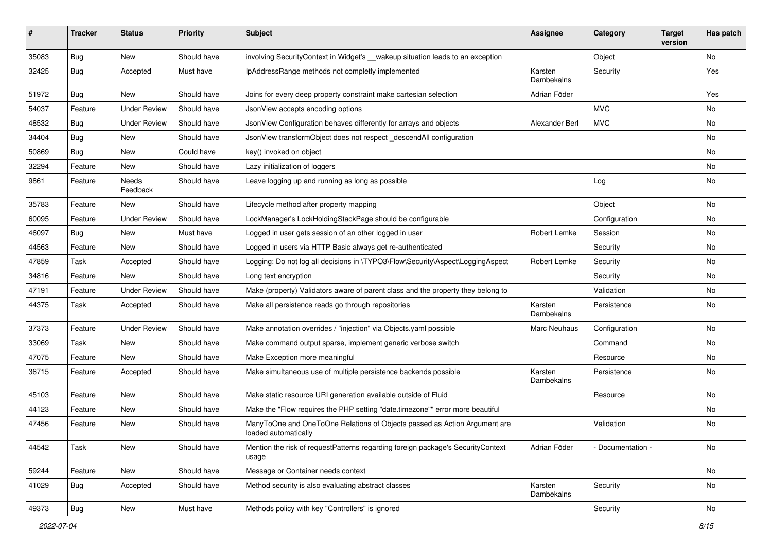| ∦     | <b>Tracker</b> | <b>Status</b>       | <b>Priority</b> | <b>Subject</b>                                                                                    | <b>Assignee</b>              | Category        | <b>Target</b><br>version | Has patch |
|-------|----------------|---------------------|-----------------|---------------------------------------------------------------------------------------------------|------------------------------|-----------------|--------------------------|-----------|
| 35083 | <b>Bug</b>     | New                 | Should have     | involving SecurityContext in Widget's __wakeup situation leads to an exception                    |                              | Object          |                          | No        |
| 32425 | <b>Bug</b>     | Accepted            | Must have       | IpAddressRange methods not completly implemented                                                  | Karsten<br><b>Dambekalns</b> | Security        |                          | Yes       |
| 51972 | <b>Bug</b>     | New                 | Should have     | Joins for every deep property constraint make cartesian selection                                 | Adrian Föder                 |                 |                          | Yes       |
| 54037 | Feature        | <b>Under Review</b> | Should have     | JsonView accepts encoding options                                                                 |                              | <b>MVC</b>      |                          | No        |
| 48532 | <b>Bug</b>     | <b>Under Review</b> | Should have     | JsonView Configuration behaves differently for arrays and objects                                 | Alexander Berl               | <b>MVC</b>      |                          | No        |
| 34404 | <b>Bug</b>     | New                 | Should have     | JsonView transformObject does not respect descendAll configuration                                |                              |                 |                          | No        |
| 50869 | <b>Bug</b>     | New                 | Could have      | key() invoked on object                                                                           |                              |                 |                          | No        |
| 32294 | Feature        | New                 | Should have     | Lazy initialization of loggers                                                                    |                              |                 |                          | No        |
| 9861  | Feature        | Needs<br>Feedback   | Should have     | Leave logging up and running as long as possible                                                  |                              | Log             |                          | No        |
| 35783 | Feature        | New                 | Should have     | Lifecycle method after property mapping                                                           |                              | Object          |                          | <b>No</b> |
| 60095 | Feature        | <b>Under Review</b> | Should have     | LockManager's LockHoldingStackPage should be configurable                                         |                              | Configuration   |                          | No        |
| 46097 | <b>Bug</b>     | New                 | Must have       | Logged in user gets session of an other logged in user                                            | Robert Lemke                 | Session         |                          | No        |
| 44563 | Feature        | New                 | Should have     | Logged in users via HTTP Basic always get re-authenticated                                        |                              | Security        |                          | No        |
| 47859 | Task           | Accepted            | Should have     | Logging: Do not log all decisions in \TYPO3\Flow\Security\Aspect\LoggingAspect                    | Robert Lemke                 | Security        |                          | No        |
| 34816 | Feature        | New                 | Should have     | Long text encryption                                                                              |                              | Security        |                          | No        |
| 47191 | Feature        | <b>Under Review</b> | Should have     | Make (property) Validators aware of parent class and the property they belong to                  |                              | Validation      |                          | No        |
| 44375 | Task           | Accepted            | Should have     | Make all persistence reads go through repositories                                                | Karsten<br>Dambekalns        | Persistence     |                          | No        |
| 37373 | Feature        | <b>Under Review</b> | Should have     | Make annotation overrides / "injection" via Objects.yaml possible                                 | Marc Neuhaus                 | Configuration   |                          | No        |
| 33069 | Task           | New                 | Should have     | Make command output sparse, implement generic verbose switch                                      |                              | Command         |                          | No        |
| 47075 | Feature        | New                 | Should have     | Make Exception more meaningful                                                                    |                              | Resource        |                          | No        |
| 36715 | Feature        | Accepted            | Should have     | Make simultaneous use of multiple persistence backends possible                                   | Karsten<br>Dambekalns        | Persistence     |                          | No        |
| 45103 | Feature        | New                 | Should have     | Make static resource URI generation available outside of Fluid                                    |                              | Resource        |                          | No        |
| 44123 | Feature        | New                 | Should have     | Make the "Flow requires the PHP setting "date.timezone"" error more beautiful                     |                              |                 |                          | No        |
| 47456 | Feature        | New                 | Should have     | ManyToOne and OneToOne Relations of Objects passed as Action Argument are<br>loaded automatically |                              | Validation      |                          | No        |
| 44542 | Task           | New                 | Should have     | Mention the risk of requestPatterns regarding foreign package's SecurityContext<br>usage          | Adrian Föder                 | Documentation - |                          | No        |
| 59244 | Feature        | New                 | Should have     | Message or Container needs context                                                                |                              |                 |                          | No        |
| 41029 | <b>Bug</b>     | Accepted            | Should have     | Method security is also evaluating abstract classes                                               | Karsten<br>Dambekalns        | Security        |                          | No        |
| 49373 | i Bug          | New                 | Must have       | Methods policy with key "Controllers" is ignored                                                  |                              | Security        |                          | No        |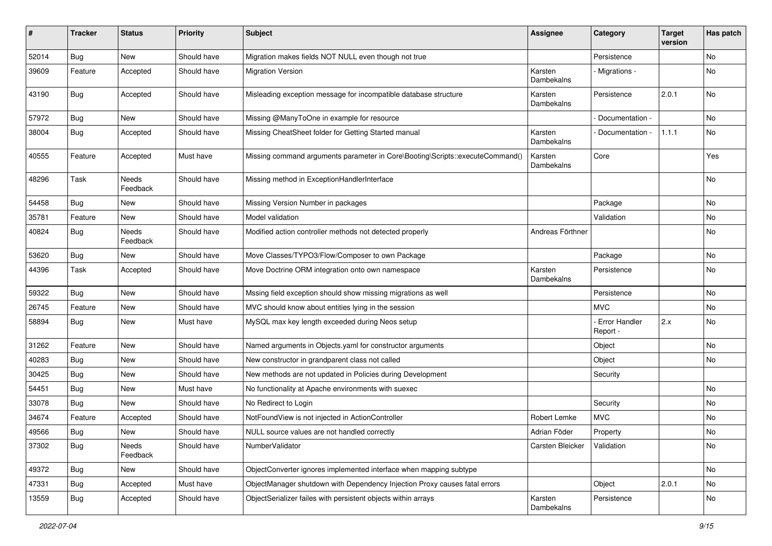| #     | <b>Tracker</b> | <b>Status</b>            | <b>Priority</b> | <b>Subject</b>                                                               | <b>Assignee</b>       | Category                    | <b>Target</b><br>version | Has patch |
|-------|----------------|--------------------------|-----------------|------------------------------------------------------------------------------|-----------------------|-----------------------------|--------------------------|-----------|
| 52014 | <b>Bug</b>     | New                      | Should have     | Migration makes fields NOT NULL even though not true                         |                       | Persistence                 |                          | No        |
| 39609 | Feature        | Accepted                 | Should have     | <b>Migration Version</b>                                                     | Karsten<br>Dambekalns | Migrations -                |                          | No        |
| 43190 | <b>Bug</b>     | Accepted                 | Should have     | Misleading exception message for incompatible database structure             | Karsten<br>Dambekalns | Persistence                 | 2.0.1                    | No        |
| 57972 | <b>Bug</b>     | New                      | Should have     | Missing @ManyToOne in example for resource                                   |                       | Documentation -             |                          | <b>No</b> |
| 38004 | <b>Bug</b>     | Accepted                 | Should have     | Missing CheatSheet folder for Getting Started manual                         | Karsten<br>Dambekalns | Documentation -             | 1.1.1                    | No        |
| 40555 | Feature        | Accepted                 | Must have       | Missing command arguments parameter in Core\Booting\Scripts::executeCommand( | Karsten<br>Dambekalns | Core                        |                          | Yes       |
| 48296 | Task           | <b>Needs</b><br>Feedback | Should have     | Missing method in ExceptionHandlerInterface                                  |                       |                             |                          | No        |
| 54458 | <b>Bug</b>     | New                      | Should have     | Missing Version Number in packages                                           |                       | Package                     |                          | <b>No</b> |
| 35781 | Feature        | New                      | Should have     | Model validation                                                             |                       | Validation                  |                          | No        |
| 40824 | <b>Bug</b>     | <b>Needs</b><br>Feedback | Should have     | Modified action controller methods not detected properly                     | Andreas Förthner      |                             |                          | No        |
| 53620 | <b>Bug</b>     | New                      | Should have     | Move Classes/TYPO3/Flow/Composer to own Package                              |                       | Package                     |                          | No        |
| 44396 | Task           | Accepted                 | Should have     | Move Doctrine ORM integration onto own namespace                             | Karsten<br>Dambekalns | Persistence                 |                          | No        |
| 59322 | <b>Bug</b>     | New                      | Should have     | Mssing field exception should show missing migrations as well                |                       | Persistence                 |                          | No        |
| 26745 | Feature        | New                      | Should have     | MVC should know about entities lying in the session                          |                       | MVC.                        |                          | No        |
| 58894 | <b>Bug</b>     | New                      | Must have       | MySQL max key length exceeded during Neos setup                              |                       | - Error Handler<br>Report - | 2.x                      | No        |
| 31262 | Feature        | New                      | Should have     | Named arguments in Objects.yaml for constructor arguments                    |                       | Object                      |                          | No        |
| 40283 | <b>Bug</b>     | New                      | Should have     | New constructor in grandparent class not called                              |                       | Object                      |                          | <b>No</b> |
| 30425 | <b>Bug</b>     | New                      | Should have     | New methods are not updated in Policies during Development                   |                       | Security                    |                          |           |
| 54451 | <b>Bug</b>     | New                      | Must have       | No functionality at Apache environments with suexec                          |                       |                             |                          | No        |
| 33078 | <b>Bug</b>     | New                      | Should have     | No Redirect to Login                                                         |                       | Security                    |                          | No        |
| 34674 | Feature        | Accepted                 | Should have     | NotFoundView is not injected in ActionController                             | Robert Lemke          | <b>MVC</b>                  |                          | No        |
| 49566 | <b>Bug</b>     | New                      | Should have     | NULL source values are not handled correctly                                 | Adrian Föder          | Property                    |                          | No        |
| 37302 | <b>Bug</b>     | Needs<br>Feedback        | Should have     | NumberValidator                                                              | Carsten Bleicker      | Validation                  |                          | No        |
| 49372 | <b>Bug</b>     | New                      | Should have     | ObjectConverter ignores implemented interface when mapping subtype           |                       |                             |                          | No        |
| 47331 | <b>Bug</b>     | Accepted                 | Must have       | ObjectManager shutdown with Dependency Injection Proxy causes fatal errors   |                       | Object                      | 2.0.1                    | No        |
| 13559 | <b>Bug</b>     | Accepted                 | Should have     | ObjectSerializer failes with persistent objects within arrays                | Karsten<br>Dambekalns | Persistence                 |                          | No        |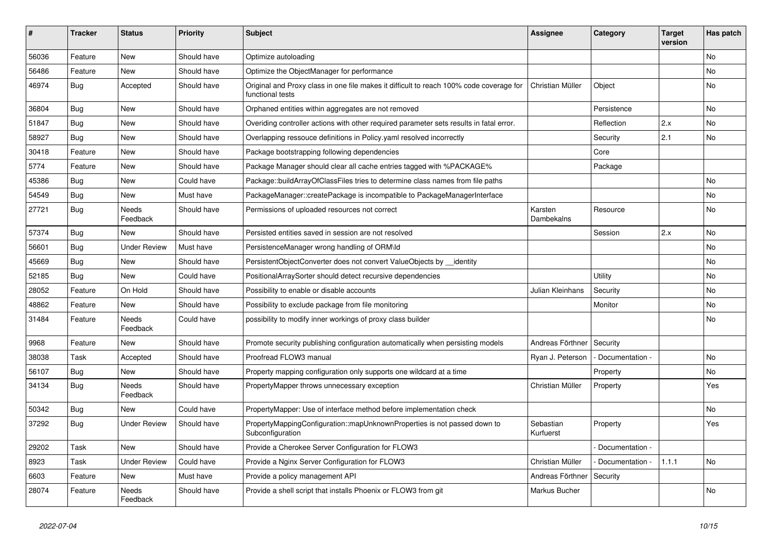| ∦     | <b>Tracker</b> | <b>Status</b>            | <b>Priority</b> | <b>Subject</b>                                                                                              | Assignee               | Category        | <b>Target</b><br>version | Has patch |
|-------|----------------|--------------------------|-----------------|-------------------------------------------------------------------------------------------------------------|------------------------|-----------------|--------------------------|-----------|
| 56036 | Feature        | <b>New</b>               | Should have     | Optimize autoloading                                                                                        |                        |                 |                          | <b>No</b> |
| 56486 | Feature        | <b>New</b>               | Should have     | Optimize the ObjectManager for performance                                                                  |                        |                 |                          | <b>No</b> |
| 46974 | <b>Bug</b>     | Accepted                 | Should have     | Original and Proxy class in one file makes it difficult to reach 100% code coverage for<br>functional tests | Christian Müller       | Object          |                          | <b>No</b> |
| 36804 | Bug            | <b>New</b>               | Should have     | Orphaned entities within aggregates are not removed                                                         |                        | Persistence     |                          | <b>No</b> |
| 51847 | Bug            | <b>New</b>               | Should have     | Overiding controller actions with other required parameter sets results in fatal error.                     |                        | Reflection      | 2.x                      | No        |
| 58927 | <b>Bug</b>     | <b>New</b>               | Should have     | Overlapping ressouce definitions in Policy yaml resolved incorrectly                                        |                        | Security        | 2.1                      | No        |
| 30418 | Feature        | <b>New</b>               | Should have     | Package bootstrapping following dependencies                                                                |                        | Core            |                          |           |
| 5774  | Feature        | <b>New</b>               | Should have     | Package Manager should clear all cache entries tagged with %PACKAGE%                                        |                        | Package         |                          |           |
| 45386 | <b>Bug</b>     | <b>New</b>               | Could have      | Package::buildArrayOfClassFiles tries to determine class names from file paths                              |                        |                 |                          | No        |
| 54549 | <b>Bug</b>     | <b>New</b>               | Must have       | PackageManager::createPackage is incompatible to PackageManagerInterface                                    |                        |                 |                          | No        |
| 27721 | <b>Bug</b>     | Needs<br>Feedback        | Should have     | Permissions of uploaded resources not correct                                                               | Karsten<br>Dambekalns  | Resource        |                          | No        |
| 57374 | <b>Bug</b>     | <b>New</b>               | Should have     | Persisted entities saved in session are not resolved                                                        |                        | Session         | 2.x                      | <b>No</b> |
| 56601 | <b>Bug</b>     | <b>Under Review</b>      | Must have       | PersistenceManager wrong handling of ORM\ld                                                                 |                        |                 |                          | <b>No</b> |
| 45669 | Bug            | <b>New</b>               | Should have     | PersistentObjectConverter does not convert ValueObjects by __ identity                                      |                        |                 |                          | No        |
| 52185 | Bug            | <b>New</b>               | Could have      | PositionalArraySorter should detect recursive dependencies                                                  |                        | Utility         |                          | No        |
| 28052 | Feature        | On Hold                  | Should have     | Possibility to enable or disable accounts                                                                   | Julian Kleinhans       | Security        |                          | No        |
| 48862 | Feature        | <b>New</b>               | Should have     | Possibility to exclude package from file monitoring                                                         |                        | Monitor         |                          | No        |
| 31484 | Feature        | Needs<br>Feedback        | Could have      | possibility to modify inner workings of proxy class builder                                                 |                        |                 |                          | No        |
| 9968  | Feature        | <b>New</b>               | Should have     | Promote security publishing configuration automatically when persisting models                              | Andreas Förthner       | Security        |                          |           |
| 38038 | Task           | Accepted                 | Should have     | Proofread FLOW3 manual                                                                                      | Ryan J. Peterson       | Documentation - |                          | No        |
| 56107 | Bug            | <b>New</b>               | Should have     | Property mapping configuration only supports one wildcard at a time                                         |                        | Property        |                          | <b>No</b> |
| 34134 | <b>Bug</b>     | Needs<br>Feedback        | Should have     | PropertyMapper throws unnecessary exception                                                                 | Christian Müller       | Property        |                          | Yes       |
| 50342 | <b>Bug</b>     | <b>New</b>               | Could have      | PropertyMapper: Use of interface method before implementation check                                         |                        |                 |                          | <b>No</b> |
| 37292 | <b>Bug</b>     | <b>Under Review</b>      | Should have     | PropertyMappingConfiguration::mapUnknownProperties is not passed down to<br>Subconfiguration                | Sebastian<br>Kurfuerst | Property        |                          | Yes       |
| 29202 | Task           | <b>New</b>               | Should have     | Provide a Cherokee Server Configuration for FLOW3                                                           |                        | Documentation - |                          |           |
| 8923  | Task           | <b>Under Review</b>      | Could have      | Provide a Nginx Server Configuration for FLOW3                                                              | Christian Müller       | Documentation - | 1.1.1                    | No        |
| 6603  | Feature        | New                      | Must have       | Provide a policy management API                                                                             | Andreas Förthner       | Security        |                          |           |
| 28074 | Feature        | <b>Needs</b><br>Feedback | Should have     | Provide a shell script that installs Phoenix or FLOW3 from git                                              | Markus Bucher          |                 |                          | <b>No</b> |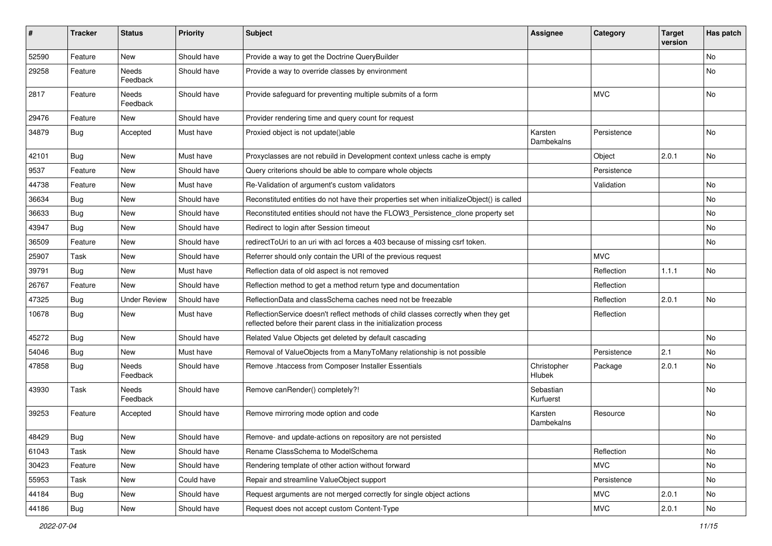| $\pmb{\#}$ | <b>Tracker</b> | <b>Status</b>       | <b>Priority</b> | <b>Subject</b>                                                                                                                                          | <b>Assignee</b>        | Category    | <b>Target</b><br>version | Has patch |
|------------|----------------|---------------------|-----------------|---------------------------------------------------------------------------------------------------------------------------------------------------------|------------------------|-------------|--------------------------|-----------|
| 52590      | Feature        | <b>New</b>          | Should have     | Provide a way to get the Doctrine QueryBuilder                                                                                                          |                        |             |                          | <b>No</b> |
| 29258      | Feature        | Needs<br>Feedback   | Should have     | Provide a way to override classes by environment                                                                                                        |                        |             |                          | No        |
| 2817       | Feature        | Needs<br>Feedback   | Should have     | Provide safeguard for preventing multiple submits of a form                                                                                             |                        | <b>MVC</b>  |                          | No        |
| 29476      | Feature        | New                 | Should have     | Provider rendering time and query count for request                                                                                                     |                        |             |                          |           |
| 34879      | <b>Bug</b>     | Accepted            | Must have       | Proxied object is not update()able                                                                                                                      | Karsten<br>Dambekalns  | Persistence |                          | No        |
| 42101      | <b>Bug</b>     | New                 | Must have       | Proxyclasses are not rebuild in Development context unless cache is empty                                                                               |                        | Object      | 2.0.1                    | No        |
| 9537       | Feature        | New                 | Should have     | Query criterions should be able to compare whole objects                                                                                                |                        | Persistence |                          |           |
| 44738      | Feature        | New                 | Must have       | Re-Validation of argument's custom validators                                                                                                           |                        | Validation  |                          | No        |
| 36634      | Bug            | New                 | Should have     | Reconstituted entities do not have their properties set when initializeObject() is called                                                               |                        |             |                          | No        |
| 36633      | <b>Bug</b>     | New                 | Should have     | Reconstituted entities should not have the FLOW3_Persistence_clone property set                                                                         |                        |             |                          | No        |
| 43947      | <b>Bug</b>     | <b>New</b>          | Should have     | Redirect to login after Session timeout                                                                                                                 |                        |             |                          | <b>No</b> |
| 36509      | Feature        | New                 | Should have     | redirectToUri to an uri with acl forces a 403 because of missing csrf token.                                                                            |                        |             |                          | No        |
| 25907      | Task           | New                 | Should have     | Referrer should only contain the URI of the previous request                                                                                            |                        | <b>MVC</b>  |                          |           |
| 39791      | Bug            | New                 | Must have       | Reflection data of old aspect is not removed                                                                                                            |                        | Reflection  | 1.1.1                    | <b>No</b> |
| 26767      | Feature        | New                 | Should have     | Reflection method to get a method return type and documentation                                                                                         |                        | Reflection  |                          |           |
| 47325      | Bug            | <b>Under Review</b> | Should have     | ReflectionData and classSchema caches need not be freezable                                                                                             |                        | Reflection  | 2.0.1                    | <b>No</b> |
| 10678      | <b>Bug</b>     | New                 | Must have       | ReflectionService doesn't reflect methods of child classes correctly when they get<br>reflected before their parent class in the initialization process |                        | Reflection  |                          |           |
| 45272      | Bug            | New                 | Should have     | Related Value Objects get deleted by default cascading                                                                                                  |                        |             |                          | No        |
| 54046      | <b>Bug</b>     | <b>New</b>          | Must have       | Removal of ValueObjects from a ManyToMany relationship is not possible                                                                                  |                        | Persistence | 2.1                      | <b>No</b> |
| 47858      | Bug            | Needs<br>Feedback   | Should have     | Remove .htaccess from Composer Installer Essentials                                                                                                     | Christopher<br>Hlubek  | Package     | 2.0.1                    | No        |
| 43930      | Task           | Needs<br>Feedback   | Should have     | Remove canRender() completely?!                                                                                                                         | Sebastian<br>Kurfuerst |             |                          | No        |
| 39253      | Feature        | Accepted            | Should have     | Remove mirroring mode option and code                                                                                                                   | Karsten<br>Dambekalns  | Resource    |                          | <b>No</b> |
| 48429      | <b>Bug</b>     | New                 | Should have     | Remove- and update-actions on repository are not persisted                                                                                              |                        |             |                          | No        |
| 61043      | Task           | New                 | Should have     | Rename ClassSchema to ModelSchema                                                                                                                       |                        | Reflection  |                          | No        |
| 30423      | Feature        | New                 | Should have     | Rendering template of other action without forward                                                                                                      |                        | <b>MVC</b>  |                          | No        |
| 55953      | Task           | New                 | Could have      | Repair and streamline ValueObject support                                                                                                               |                        | Persistence |                          | No        |
| 44184      | <b>Bug</b>     | New                 | Should have     | Request arguments are not merged correctly for single object actions                                                                                    |                        | MVC         | 2.0.1                    | No        |
| 44186      | <b>Bug</b>     | New                 | Should have     | Request does not accept custom Content-Type                                                                                                             |                        | <b>MVC</b>  | 2.0.1                    | No        |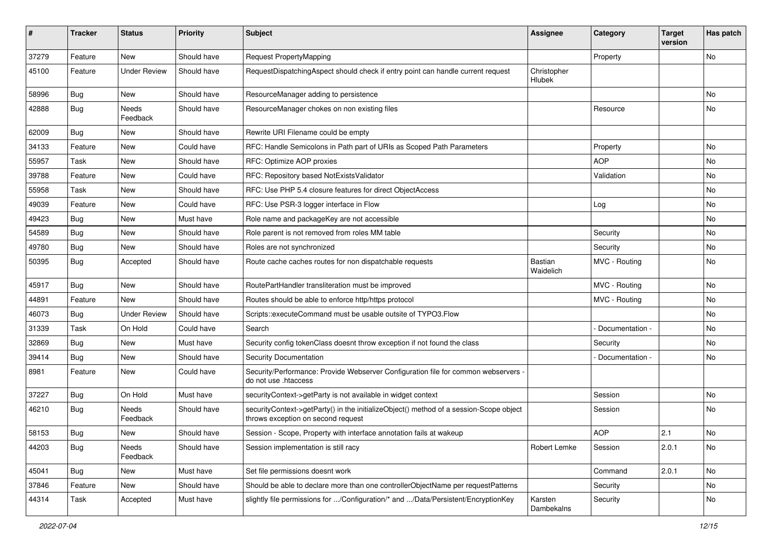| ∦     | <b>Tracker</b> | <b>Status</b>       | <b>Priority</b> | <b>Subject</b>                                                                                                               | Assignee              | Category        | <b>Target</b><br>version | Has patch |
|-------|----------------|---------------------|-----------------|------------------------------------------------------------------------------------------------------------------------------|-----------------------|-----------------|--------------------------|-----------|
| 37279 | Feature        | <b>New</b>          | Should have     | Request PropertyMapping                                                                                                      |                       | Property        |                          | No        |
| 45100 | Feature        | <b>Under Review</b> | Should have     | RequestDispatchingAspect should check if entry point can handle current request                                              | Christopher<br>Hlubek |                 |                          |           |
| 58996 | Bug            | <b>New</b>          | Should have     | ResourceManager adding to persistence                                                                                        |                       |                 |                          | No        |
| 42888 | Bug            | Needs<br>Feedback   | Should have     | ResourceManager chokes on non existing files                                                                                 |                       | Resource        |                          | No        |
| 62009 | Bug            | <b>New</b>          | Should have     | Rewrite URI Filename could be empty                                                                                          |                       |                 |                          |           |
| 34133 | Feature        | <b>New</b>          | Could have      | RFC: Handle Semicolons in Path part of URIs as Scoped Path Parameters                                                        |                       | Property        |                          | No        |
| 55957 | Task           | <b>New</b>          | Should have     | RFC: Optimize AOP proxies                                                                                                    |                       | <b>AOP</b>      |                          | No        |
| 39788 | Feature        | <b>New</b>          | Could have      | RFC: Repository based NotExistsValidator                                                                                     |                       | Validation      |                          | No        |
| 55958 | Task           | <b>New</b>          | Should have     | RFC: Use PHP 5.4 closure features for direct ObjectAccess                                                                    |                       |                 |                          | No        |
| 49039 | Feature        | <b>New</b>          | Could have      | RFC: Use PSR-3 logger interface in Flow                                                                                      |                       | Log             |                          | No        |
| 49423 | <b>Bug</b>     | New                 | Must have       | Role name and packageKey are not accessible                                                                                  |                       |                 |                          | No        |
| 54589 | Bug            | <b>New</b>          | Should have     | Role parent is not removed from roles MM table                                                                               |                       | Security        |                          | No        |
| 49780 | <b>Bug</b>     | New                 | Should have     | Roles are not synchronized                                                                                                   |                       | Security        |                          | No        |
| 50395 | <b>Bug</b>     | Accepted            | Should have     | Route cache caches routes for non dispatchable requests                                                                      | Bastian<br>Waidelich  | MVC - Routing   |                          | No        |
| 45917 | <b>Bug</b>     | <b>New</b>          | Should have     | RoutePartHandler transliteration must be improved                                                                            |                       | MVC - Routing   |                          | No.       |
| 44891 | Feature        | <b>New</b>          | Should have     | Routes should be able to enforce http/https protocol                                                                         |                       | MVC - Routing   |                          | No        |
| 46073 | Bug            | <b>Under Review</b> | Should have     | Scripts::executeCommand must be usable outsite of TYPO3.Flow                                                                 |                       |                 |                          | No        |
| 31339 | Task           | On Hold             | Could have      | Search                                                                                                                       |                       | Documentation - |                          | No        |
| 32869 | Bug            | <b>New</b>          | Must have       | Security config tokenClass doesnt throw exception if not found the class                                                     |                       | Security        |                          | No        |
| 39414 | <b>Bug</b>     | <b>New</b>          | Should have     | Security Documentation                                                                                                       |                       | Documentation - |                          | No        |
| 8981  | Feature        | <b>New</b>          | Could have      | Security/Performance: Provide Webserver Configuration file for common webservers -<br>do not use .htaccess                   |                       |                 |                          |           |
| 37227 | Bug            | On Hold             | Must have       | securityContext->getParty is not available in widget context                                                                 |                       | Session         |                          | No        |
| 46210 | <b>Bug</b>     | Needs<br>Feedback   | Should have     | securityContext->getParty() in the initializeObject() method of a session-Scope object<br>throws exception on second request |                       | Session         |                          | No        |
| 58153 | Bug            | <b>New</b>          | Should have     | Session - Scope, Property with interface annotation fails at wakeup                                                          |                       | <b>AOP</b>      | 2.1                      | No        |
| 44203 | <b>Bug</b>     | Needs<br>Feedback   | Should have     | Session implementation is still racy                                                                                         | Robert Lemke          | Session         | 2.0.1                    | No        |
| 45041 | Bug            | New                 | Must have       | Set file permissions doesnt work                                                                                             |                       | Command         | 2.0.1                    | No        |
| 37846 | Feature        | New                 | Should have     | Should be able to declare more than one controllerObjectName per requestPatterns                                             |                       | Security        |                          | No        |
| 44314 | Task           | Accepted            | Must have       | slightly file permissions for /Configuration/* and /Data/Persistent/EncryptionKey                                            | Karsten<br>Dambekalns | Security        |                          | No        |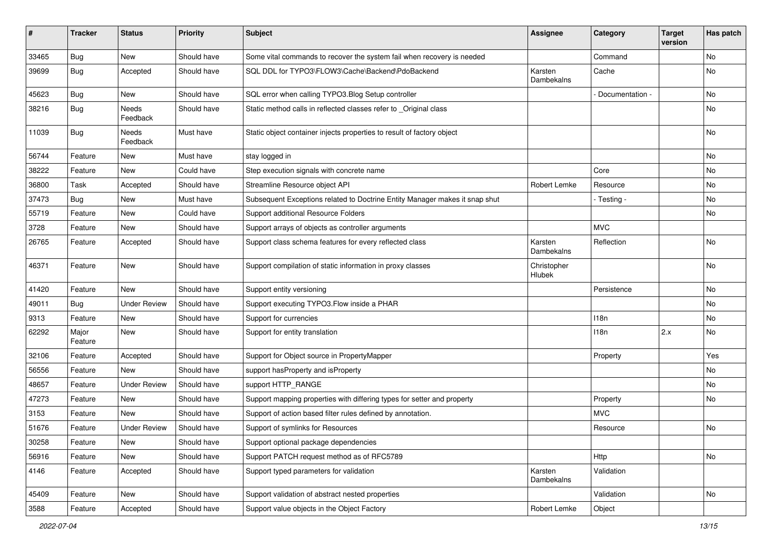| ∦     | <b>Tracker</b>   | <b>Status</b>       | <b>Priority</b> | <b>Subject</b>                                                              | Assignee              | Category        | <b>Target</b><br>version | Has patch |
|-------|------------------|---------------------|-----------------|-----------------------------------------------------------------------------|-----------------------|-----------------|--------------------------|-----------|
| 33465 | <b>Bug</b>       | New                 | Should have     | Some vital commands to recover the system fail when recovery is needed      |                       | Command         |                          | No        |
| 39699 | <b>Bug</b>       | Accepted            | Should have     | SQL DDL for TYPO3\FLOW3\Cache\Backend\PdoBackend                            | Karsten<br>Dambekalns | Cache           |                          | No        |
| 45623 | Bug              | New                 | Should have     | SQL error when calling TYPO3. Blog Setup controller                         |                       | Documentation - |                          | No        |
| 38216 | <b>Bug</b>       | Needs<br>Feedback   | Should have     | Static method calls in reflected classes refer to _Original class           |                       |                 |                          | No        |
| 11039 | Bug              | Needs<br>Feedback   | Must have       | Static object container injects properties to result of factory object      |                       |                 |                          | <b>No</b> |
| 56744 | Feature          | New                 | Must have       | stay logged in                                                              |                       |                 |                          | No        |
| 38222 | Feature          | New                 | Could have      | Step execution signals with concrete name                                   |                       | Core            |                          | No        |
| 36800 | Task             | Accepted            | Should have     | Streamline Resource object API                                              | Robert Lemke          | Resource        |                          | No        |
| 37473 | <b>Bug</b>       | New                 | Must have       | Subsequent Exceptions related to Doctrine Entity Manager makes it snap shut |                       | - Testing -     |                          | No        |
| 55719 | Feature          | New                 | Could have      | Support additional Resource Folders                                         |                       |                 |                          | No        |
| 3728  | Feature          | New                 | Should have     | Support arrays of objects as controller arguments                           |                       | <b>MVC</b>      |                          |           |
| 26765 | Feature          | Accepted            | Should have     | Support class schema features for every reflected class                     | Karsten<br>Dambekalns | Reflection      |                          | No        |
| 46371 | Feature          | New                 | Should have     | Support compilation of static information in proxy classes                  | Christopher<br>Hlubek |                 |                          | No        |
| 41420 | Feature          | New                 | Should have     | Support entity versioning                                                   |                       | Persistence     |                          | No        |
| 49011 | <b>Bug</b>       | <b>Under Review</b> | Should have     | Support executing TYPO3.Flow inside a PHAR                                  |                       |                 |                          | No        |
| 9313  | Feature          | <b>New</b>          | Should have     | Support for currencies                                                      |                       | 118n            |                          | No        |
| 62292 | Major<br>Feature | New                 | Should have     | Support for entity translation                                              |                       | 118n            | 2.x                      | No        |
| 32106 | Feature          | Accepted            | Should have     | Support for Object source in PropertyMapper                                 |                       | Property        |                          | Yes       |
| 56556 | Feature          | <b>New</b>          | Should have     | support has Property and is Property                                        |                       |                 |                          | No        |
| 48657 | Feature          | <b>Under Review</b> | Should have     | support HTTP_RANGE                                                          |                       |                 |                          | No        |
| 47273 | Feature          | New                 | Should have     | Support mapping properties with differing types for setter and property     |                       | Property        |                          | No        |
| 3153  | Feature          | <b>New</b>          | Should have     | Support of action based filter rules defined by annotation.                 |                       | <b>MVC</b>      |                          |           |
| 51676 | Feature          | <b>Under Review</b> | Should have     | Support of symlinks for Resources                                           |                       | Resource        |                          | No        |
| 30258 | Feature          | New                 | Should have     | Support optional package dependencies                                       |                       |                 |                          |           |
| 56916 | Feature          | New                 | Should have     | Support PATCH request method as of RFC5789                                  |                       | Http            |                          | No        |
| 4146  | Feature          | Accepted            | Should have     | Support typed parameters for validation                                     | Karsten<br>Dambekalns | Validation      |                          |           |
| 45409 | Feature          | New                 | Should have     | Support validation of abstract nested properties                            |                       | Validation      |                          | No        |
| 3588  | Feature          | Accepted            | Should have     | Support value objects in the Object Factory                                 | Robert Lemke          | Object          |                          |           |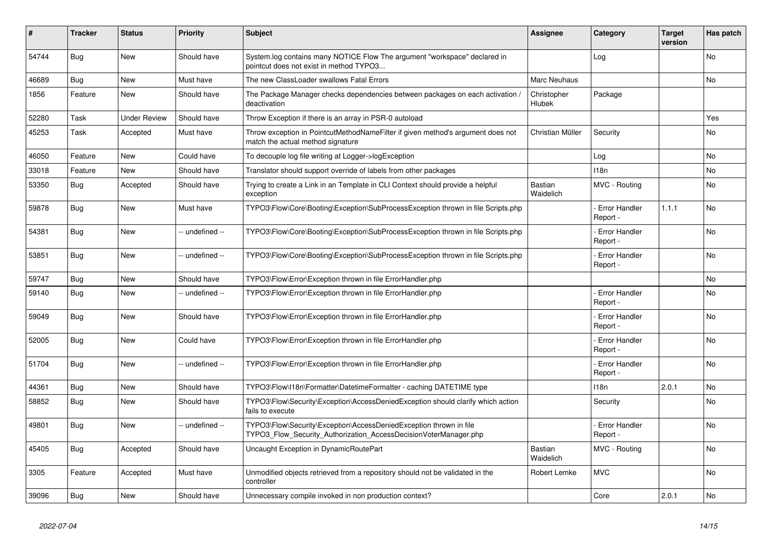| #     | <b>Tracker</b> | <b>Status</b>       | <b>Priority</b> | <b>Subject</b>                                                                                                                         | <b>Assignee</b>             | Category                         | <b>Target</b><br>version | Has patch |
|-------|----------------|---------------------|-----------------|----------------------------------------------------------------------------------------------------------------------------------------|-----------------------------|----------------------------------|--------------------------|-----------|
| 54744 | <b>Bug</b>     | <b>New</b>          | Should have     | System.log contains many NOTICE Flow The argument "workspace" declared in<br>pointcut does not exist in method TYPO3                   |                             | Log                              |                          | <b>No</b> |
| 46689 | Bug            | <b>New</b>          | Must have       | The new ClassLoader swallows Fatal Errors                                                                                              | Marc Neuhaus                |                                  |                          | <b>No</b> |
| 1856  | Feature        | <b>New</b>          | Should have     | The Package Manager checks dependencies between packages on each activation,<br>deactivation                                           | Christopher<br>Hlubek       | Package                          |                          |           |
| 52280 | Task           | <b>Under Review</b> | Should have     | Throw Exception if there is an array in PSR-0 autoload                                                                                 |                             |                                  |                          | Yes       |
| 45253 | Task           | Accepted            | Must have       | Throw exception in PointcutMethodNameFilter if given method's argument does not<br>match the actual method signature                   | Christian Müller            | Security                         |                          | <b>No</b> |
| 46050 | Feature        | <b>New</b>          | Could have      | To decouple log file writing at Logger->logException                                                                                   |                             | Log                              |                          | No        |
| 33018 | Feature        | <b>New</b>          | Should have     | Translator should support override of labels from other packages                                                                       |                             | 118n                             |                          | No        |
| 53350 | Bug            | Accepted            | Should have     | Trying to create a Link in an Template in CLI Context should provide a helpful<br>exception                                            | Bastian<br>Waidelich        | MVC - Routing                    |                          | No        |
| 59878 | Bug            | <b>New</b>          | Must have       | TYPO3\Flow\Core\Booting\Exception\SubProcessException thrown in file Scripts.php                                                       |                             | Error Handler<br>Report -        | 1.1.1                    | <b>No</b> |
| 54381 | Bug            | <b>New</b>          | -- undefined -- | TYPO3\Flow\Core\Booting\Exception\SubProcessException thrown in file Scripts.php                                                       |                             | <b>Error Handler</b><br>Report - |                          | <b>No</b> |
| 53851 | <b>Bug</b>     | <b>New</b>          | -- undefined -- | TYPO3\Flow\Core\Booting\Exception\SubProcessException thrown in file Scripts.php                                                       |                             | <b>Error Handler</b><br>Report - |                          | <b>No</b> |
| 59747 | <b>Bug</b>     | <b>New</b>          | Should have     | TYPO3\Flow\Error\Exception thrown in file ErrorHandler.php                                                                             |                             |                                  |                          | No        |
| 59140 | Bug            | <b>New</b>          | -- undefined -- | TYPO3\Flow\Error\Exception thrown in file ErrorHandler.php                                                                             |                             | Error Handler<br>Report -        |                          | <b>No</b> |
| 59049 | Bug            | <b>New</b>          | Should have     | TYPO3\Flow\Error\Exception thrown in file ErrorHandler.php                                                                             |                             | <b>Error Handler</b><br>Report - |                          | <b>No</b> |
| 52005 | <b>Bug</b>     | <b>New</b>          | Could have      | TYPO3\Flow\Error\Exception thrown in file ErrorHandler.php                                                                             |                             | <b>Error Handler</b><br>Report - |                          | <b>No</b> |
| 51704 | Bug            | New                 | -- undefined -- | TYPO3\Flow\Error\Exception thrown in file ErrorHandler.php                                                                             |                             | <b>Error Handler</b><br>Report - |                          | <b>No</b> |
| 44361 | Bug            | <b>New</b>          | Should have     | TYPO3\Flow\I18n\Formatter\DatetimeFormatter - caching DATETIME type                                                                    |                             | 118n                             | 2.0.1                    | <b>No</b> |
| 58852 | Bug            | New                 | Should have     | TYPO3\Flow\Security\Exception\AccessDeniedException should clarify which action<br>fails to execute                                    |                             | Security                         |                          | <b>No</b> |
| 49801 | Bug            | <b>New</b>          | -- undefined -- | TYPO3\Flow\Security\Exception\AccessDeniedException thrown in file<br>TYPO3 Flow Security Authorization AccessDecisionVoterManager.php |                             | Error Handler<br>Report -        |                          | <b>No</b> |
| 45405 | <b>Bug</b>     | Accepted            | Should have     | Uncaught Exception in DynamicRoutePart                                                                                                 | <b>Bastian</b><br>Waidelich | MVC - Routing                    |                          | <b>No</b> |
| 3305  | Feature        | Accepted            | Must have       | Unmodified objects retrieved from a repository should not be validated in the<br>controller                                            | Robert Lemke                | <b>MVC</b>                       |                          | <b>No</b> |
| 39096 | <b>Bug</b>     | New                 | Should have     | Unnecessary compile invoked in non production context?                                                                                 |                             | Core                             | 2.0.1                    | No        |